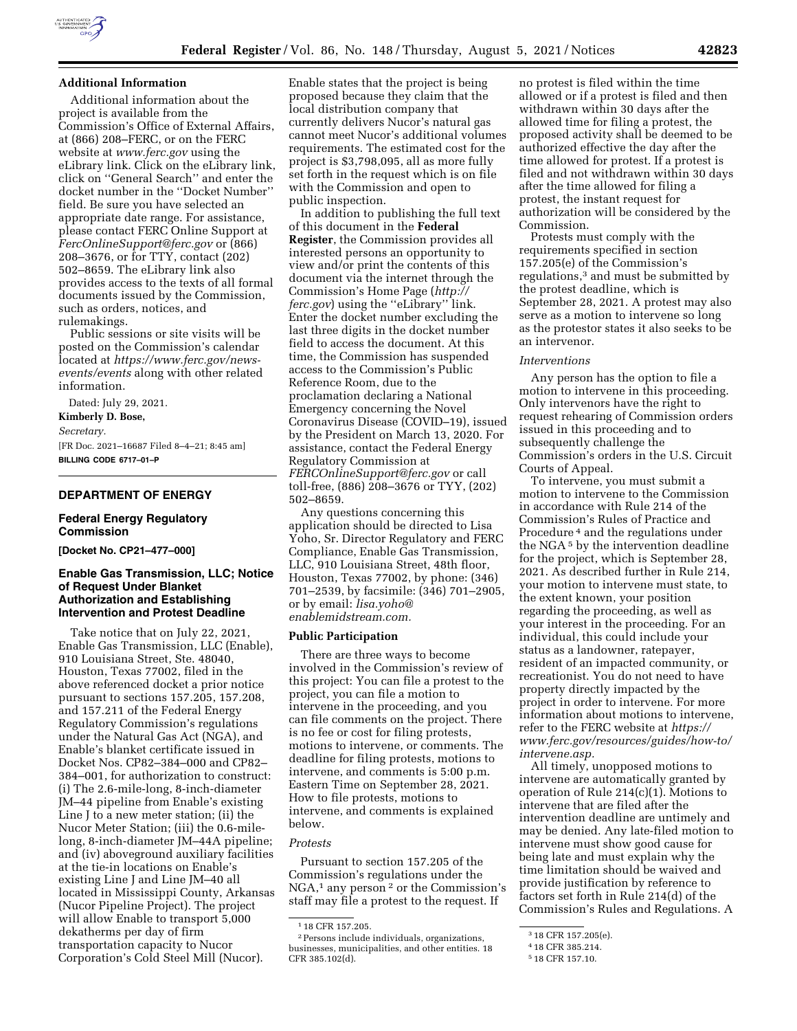

# **Additional Information**

Additional information about the project is available from the Commission's Office of External Affairs, at (866) 208–FERC, or on the FERC website at *[www.ferc.gov](http://www.ferc.gov)* using the eLibrary link. Click on the eLibrary link, click on ''General Search'' and enter the docket number in the ''Docket Number'' field. Be sure you have selected an appropriate date range. For assistance, please contact FERC Online Support at *[FercOnlineSupport@ferc.gov](mailto:FercOnlineSupport@ferc.gov)* or (866) 208–3676, or for TTY, contact (202) 502–8659. The eLibrary link also provides access to the texts of all formal documents issued by the Commission, such as orders, notices, and rulemakings.

Public sessions or site visits will be posted on the Commission's calendar located at *[https://www.ferc.gov/news](https://www.ferc.gov/news-events/events)[events/events](https://www.ferc.gov/news-events/events)* along with other related information.

Dated: July 29, 2021.

**Kimberly D. Bose,** 

*Secretary.* 

[FR Doc. 2021–16687 Filed 8–4–21; 8:45 am] **BILLING CODE 6717–01–P** 

## **DEPARTMENT OF ENERGY**

## **Federal Energy Regulatory Commission**

**[Docket No. CP21–477–000]** 

## **Enable Gas Transmission, LLC; Notice of Request Under Blanket Authorization and Establishing Intervention and Protest Deadline**

Take notice that on July 22, 2021, Enable Gas Transmission, LLC (Enable), 910 Louisiana Street, Ste. 48040, Houston, Texas 77002, filed in the above referenced docket a prior notice pursuant to sections 157.205, 157.208, and 157.211 of the Federal Energy Regulatory Commission's regulations under the Natural Gas Act (NGA), and Enable's blanket certificate issued in Docket Nos. CP82–384–000 and CP82– 384–001, for authorization to construct: (i) The 2.6-mile-long, 8-inch-diameter JM–44 pipeline from Enable's existing Line J to a new meter station; (ii) the Nucor Meter Station; (iii) the 0.6-milelong, 8-inch-diameter JM–44A pipeline; and (iv) aboveground auxiliary facilities at the tie-in locations on Enable's existing Line J and Line JM–40 all located in Mississippi County, Arkansas (Nucor Pipeline Project). The project will allow Enable to transport 5,000 dekatherms per day of firm transportation capacity to Nucor Corporation's Cold Steel Mill (Nucor).

Enable states that the project is being proposed because they claim that the local distribution company that currently delivers Nucor's natural gas cannot meet Nucor's additional volumes requirements. The estimated cost for the project is \$3,798,095, all as more fully set forth in the request which is on file with the Commission and open to public inspection.

In addition to publishing the full text of this document in the **Federal Register**, the Commission provides all interested persons an opportunity to view and/or print the contents of this document via the internet through the Commission's Home Page (*[http://](http://ferc.gov) [ferc.gov](http://ferc.gov)*) using the ''eLibrary'' link. Enter the docket number excluding the last three digits in the docket number field to access the document. At this time, the Commission has suspended access to the Commission's Public Reference Room, due to the proclamation declaring a National Emergency concerning the Novel Coronavirus Disease (COVID–19), issued by the President on March 13, 2020. For assistance, contact the Federal Energy Regulatory Commission at *[FERCOnlineSupport@ferc.gov](mailto:FERCOnlineSupport@ferc.gov)* or call toll-free, (886) 208–3676 or TYY, (202) 502–8659.

Any questions concerning this application should be directed to Lisa Yoho, Sr. Director Regulatory and FERC Compliance, Enable Gas Transmission, LLC, 910 Louisiana Street, 48th floor, Houston, Texas 77002, by phone: (346) 701–2539, by facsimile: (346) 701–2905, or by email: *[lisa.yoho@](mailto:lisa.yoho@enablemidstream.com) [enablemidstream.com.](mailto:lisa.yoho@enablemidstream.com)* 

#### **Public Participation**

There are three ways to become involved in the Commission's review of this project: You can file a protest to the project, you can file a motion to intervene in the proceeding, and you can file comments on the project. There is no fee or cost for filing protests, motions to intervene, or comments. The deadline for filing protests, motions to intervene, and comments is 5:00 p.m. Eastern Time on September 28, 2021. How to file protests, motions to intervene, and comments is explained below.

### *Protests*

Pursuant to section 157.205 of the Commission's regulations under the NGA,1 any person 2 or the Commission's staff may file a protest to the request. If

no protest is filed within the time allowed or if a protest is filed and then withdrawn within 30 days after the allowed time for filing a protest, the proposed activity shall be deemed to be authorized effective the day after the time allowed for protest. If a protest is filed and not withdrawn within 30 days after the time allowed for filing a protest, the instant request for authorization will be considered by the Commission.

Protests must comply with the requirements specified in section 157.205(e) of the Commission's regulations,3 and must be submitted by the protest deadline, which is September 28, 2021. A protest may also serve as a motion to intervene so long as the protestor states it also seeks to be an intervenor.

#### *Interventions*

Any person has the option to file a motion to intervene in this proceeding. Only intervenors have the right to request rehearing of Commission orders issued in this proceeding and to subsequently challenge the Commission's orders in the U.S. Circuit Courts of Appeal.

To intervene, you must submit a motion to intervene to the Commission in accordance with Rule 214 of the Commission's Rules of Practice and Procedure 4 and the regulations under the NGA 5 by the intervention deadline for the project, which is September 28, 2021. As described further in Rule 214, your motion to intervene must state, to the extent known, your position regarding the proceeding, as well as your interest in the proceeding. For an individual, this could include your status as a landowner, ratepayer, resident of an impacted community, or recreationist. You do not need to have property directly impacted by the project in order to intervene. For more information about motions to intervene, refer to the FERC website at *[https://](https://www.ferc.gov/resources/guides/how-to/intervene.asp) [www.ferc.gov/resources/guides/how-to/](https://www.ferc.gov/resources/guides/how-to/intervene.asp) [intervene.asp.](https://www.ferc.gov/resources/guides/how-to/intervene.asp)* 

All timely, unopposed motions to intervene are automatically granted by operation of Rule 214(c)(1). Motions to intervene that are filed after the intervention deadline are untimely and may be denied. Any late-filed motion to intervene must show good cause for being late and must explain why the time limitation should be waived and provide justification by reference to factors set forth in Rule 214(d) of the Commission's Rules and Regulations. A

<sup>1</sup> 18 CFR 157.205.

<sup>2</sup>Persons include individuals, organizations, businesses, municipalities, and other entities. 18 CFR 385.102(d).

<sup>3</sup> 18 CFR 157.205(e).

<sup>4</sup> 18 CFR 385.214.

<sup>5</sup> 18 CFR 157.10.